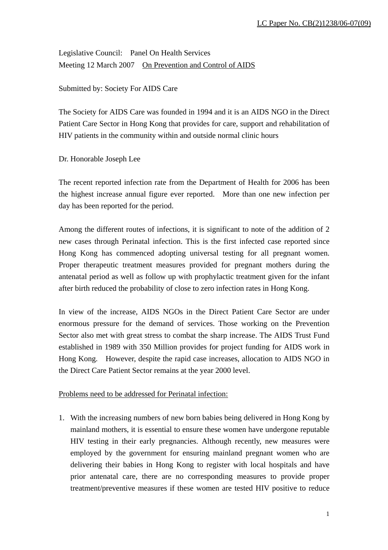Legislative Council: Panel On Health Services Meeting 12 March 2007 On Prevention and Control of AIDS

Submitted by: Society For AIDS Care

The Society for AIDS Care was founded in 1994 and it is an AIDS NGO in the Direct Patient Care Sector in Hong Kong that provides for care, support and rehabilitation of HIV patients in the community within and outside normal clinic hours

Dr. Honorable Joseph Lee

The recent reported infection rate from the Department of Health for 2006 has been the highest increase annual figure ever reported. More than one new infection per day has been reported for the period.

Among the different routes of infections, it is significant to note of the addition of 2 new cases through Perinatal infection. This is the first infected case reported since Hong Kong has commenced adopting universal testing for all pregnant women. Proper therapeutic treatment measures provided for pregnant mothers during the antenatal period as well as follow up with prophylactic treatment given for the infant after birth reduced the probability of close to zero infection rates in Hong Kong.

In view of the increase, AIDS NGOs in the Direct Patient Care Sector are under enormous pressure for the demand of services. Those working on the Prevention Sector also met with great stress to combat the sharp increase. The AIDS Trust Fund established in 1989 with 350 Million provides for project funding for AIDS work in Hong Kong. However, despite the rapid case increases, allocation to AIDS NGO in the Direct Care Patient Sector remains at the year 2000 level.

## Problems need to be addressed for Perinatal infection:

1. With the increasing numbers of new born babies being delivered in Hong Kong by mainland mothers, it is essential to ensure these women have undergone reputable HIV testing in their early pregnancies. Although recently, new measures were employed by the government for ensuring mainland pregnant women who are delivering their babies in Hong Kong to register with local hospitals and have prior antenatal care, there are no corresponding measures to provide proper treatment/preventive measures if these women are tested HIV positive to reduce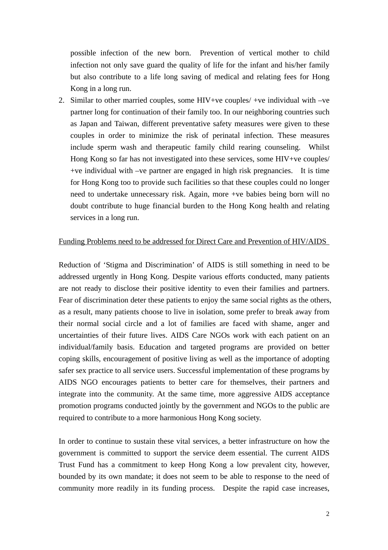possible infection of the new born. Prevention of vertical mother to child infection not only save guard the quality of life for the infant and his/her family but also contribute to a life long saving of medical and relating fees for Hong Kong in a long run.

2. Similar to other married couples, some HIV+ve couples/ +ve individual with –ve partner long for continuation of their family too. In our neighboring countries such as Japan and Taiwan, different preventative safety measures were given to these couples in order to minimize the risk of perinatal infection. These measures include sperm wash and therapeutic family child rearing counseling. Whilst Hong Kong so far has not investigated into these services, some HIV+ve couples/ +ve individual with –ve partner are engaged in high risk pregnancies. It is time for Hong Kong too to provide such facilities so that these couples could no longer need to undertake unnecessary risk. Again, more +ve babies being born will no doubt contribute to huge financial burden to the Hong Kong health and relating services in a long run.

## Funding Problems need to be addressed for Direct Care and Prevention of HIV/AIDS

Reduction of 'Stigma and Discrimination' of AIDS is still something in need to be addressed urgently in Hong Kong. Despite various efforts conducted, many patients are not ready to disclose their positive identity to even their families and partners. Fear of discrimination deter these patients to enjoy the same social rights as the others, as a result, many patients choose to live in isolation, some prefer to break away from their normal social circle and a lot of families are faced with shame, anger and uncertainties of their future lives. AIDS Care NGOs work with each patient on an individual/family basis. Education and targeted programs are provided on better coping skills, encouragement of positive living as well as the importance of adopting safer sex practice to all service users. Successful implementation of these programs by AIDS NGO encourages patients to better care for themselves, their partners and integrate into the community. At the same time, more aggressive AIDS acceptance promotion programs conducted jointly by the government and NGOs to the public are required to contribute to a more harmonious Hong Kong society.

In order to continue to sustain these vital services, a better infrastructure on how the government is committed to support the service deem essential. The current AIDS Trust Fund has a commitment to keep Hong Kong a low prevalent city, however, bounded by its own mandate; it does not seem to be able to response to the need of community more readily in its funding process. Despite the rapid case increases,